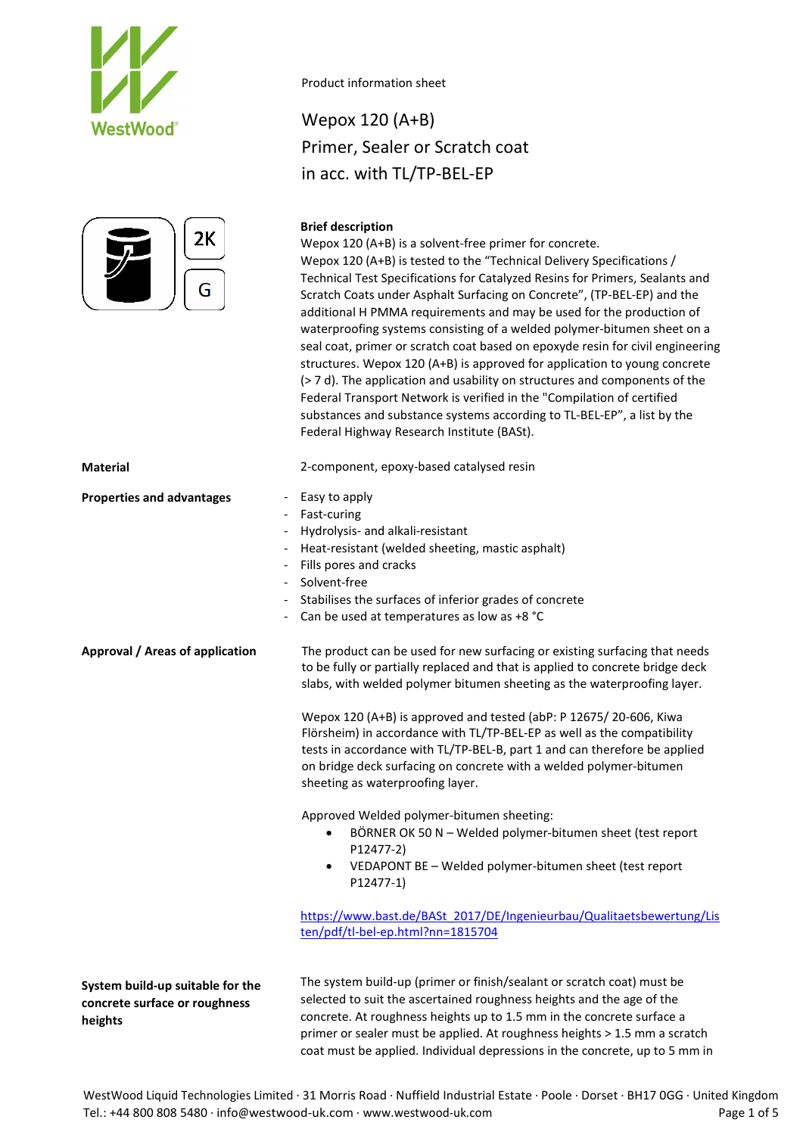



### Wepox 120 (A+B) Primer, Sealer or Scratch coat in acc. with TL/TP-BEL-EP

### **Brief description**

Wepox 120 (A+B) is a solvent-free primer for concrete. Wepox 120 (A+B) is tested to the "Technical Delivery Specifications / Technical Test Specifications for Catalyzed Resins for Primers, Sealants and Scratch Coats under Asphalt Surfacing on Concrete", (TP-BEL-EP) and the additional H PMMA requirements and may be used for the production of waterproofing systems consisting of a welded polymer-bitumen sheet on a seal coat, primer or scratch coat based on epoxyde resin for civil engineering structures. Wepox 120 (A+B) is approved for application to young concrete (> 7 d). The application and usability on structures and components of the Federal Transport Network is verified in the "Compilation of certified substances and substance systems according to TL-BEL-EP", a list by the Federal Highway Research Institute (BASt).

**Material** 2-component, epoxy-based catalysed resin **Properties and advantages** - Easy to apply Fast-curing - Hydrolysis- and alkali-resistant Heat-resistant (welded sheeting, mastic asphalt) Fills pores and cracks Solvent-free Stabilises the surfaces of inferior grades of concrete Can be used at temperatures as low as +8 °C **Approval / Areas of application System build-up suitable for the concrete surface or roughness heights** The product can be used for new surfacing or existing surfacing that needs to be fully or partially replaced and that is applied to concrete bridge deck slabs, with welded polymer bitumen sheeting as the waterproofing layer. Wepox 120 (A+B) is approved and tested (abP: P 12675/ 20-606, Kiwa Flörsheim) in accordance with TL/TP-BEL-EP as well as the compatibility tests in accordance with TL/TP-BEL-B, part 1 and can therefore be applied on bridge deck surfacing on concrete with a welded polymer-bitumen sheeting as waterproofing layer. Approved Welded polymer-bitumen sheeting: • BÖRNER OK 50 N – Welded polymer-bitumen sheet (test report P12477-2) • VEDAPONT BE – Welded polymer-bitumen sheet (test report P12477-1) [https://www.bast.de/BASt\\_2017/DE/Ingenieurbau/Qualitaetsbewertung/Lis](https://www.bast.de/BASt_2017/DE/Ingenieurbau/Qualitaetsbewertung/Listen/pdf/tl-bel-ep.html?nn=1815704) [ten/pdf/tl-bel-ep.html?nn=1815704](https://www.bast.de/BASt_2017/DE/Ingenieurbau/Qualitaetsbewertung/Listen/pdf/tl-bel-ep.html?nn=1815704) The system build-up (primer or finish/sealant or scratch coat) must be selected to suit the ascertained roughness heights and the age of the concrete. At roughness heights up to 1.5 mm in the concrete surface a primer or sealer must be applied. At roughness heights > 1.5 mm a scratch

coat must be applied. Individual depressions in the concrete, up to 5 mm in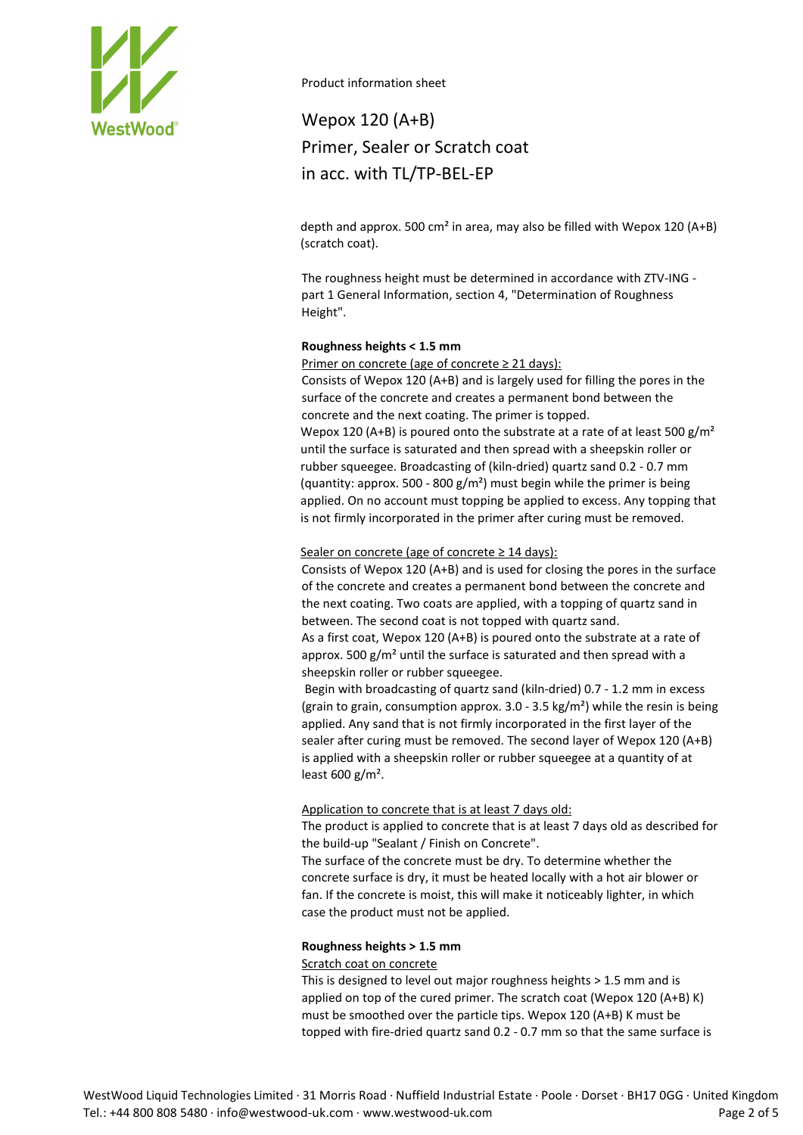

# Wepox 120 (A+B) Primer, Sealer or Scratch coat in acc. with TL/TP-BEL-EP

depth and approx. 500 cm² in area, may also be filled with Wepox 120 (A+B) (scratch coat).

The roughness height must be determined in accordance with ZTV-ING part 1 General Information, section 4, "Determination of Roughness Height".

### **Roughness heights < 1.5 mm**

Primer on concrete (age of concrete ≥ 21 days):

Consists of Wepox 120 (A+B) and is largely used for filling the pores in the surface of the concrete and creates a permanent bond between the concrete and the next coating. The primer is topped.

Wepox 120 (A+B) is poured onto the substrate at a rate of at least 500  $g/m^2$ until the surface is saturated and then spread with a sheepskin roller or rubber squeegee. Broadcasting of (kiln-dried) quartz sand 0.2 - 0.7 mm (quantity: approx. 500 - 800  $g/m<sup>2</sup>$ ) must begin while the primer is being applied. On no account must topping be applied to excess. Any topping that is not firmly incorporated in the primer after curing must be removed.

### Sealer on concrete (age of concrete  $\geq$  14 days):

Consists of Wepox 120 (A+B) and is used for closing the pores in the surface of the concrete and creates a permanent bond between the concrete and the next coating. Two coats are applied, with a topping of quartz sand in between. The second coat is not topped with quartz sand.

As a first coat, Wepox 120 (A+B) is poured onto the substrate at a rate of approx. 500  $g/m^2$  until the surface is saturated and then spread with a sheepskin roller or rubber squeegee.

Begin with broadcasting of quartz sand (kiln-dried) 0.7 - 1.2 mm in excess (grain to grain, consumption approx.  $3.0 - 3.5$  kg/m<sup>2</sup>) while the resin is being applied. Any sand that is not firmly incorporated in the first layer of the sealer after curing must be removed. The second layer of Wepox 120 (A+B) is applied with a sheepskin roller or rubber squeegee at a quantity of at least 600 g/m².

### Application to concrete that is at least 7 days old:

The product is applied to concrete that is at least 7 days old as described for the build-up "Sealant / Finish on Concrete".

The surface of the concrete must be dry. To determine whether the concrete surface is dry, it must be heated locally with a hot air blower or fan. If the concrete is moist, this will make it noticeably lighter, in which case the product must not be applied.

### **Roughness heights > 1.5 mm**

### Scratch coat on concrete

This is designed to level out major roughness heights > 1.5 mm and is applied on top of the cured primer. The scratch coat (Wepox 120 (A+B) K) must be smoothed over the particle tips. Wepox 120 (A+B) K must be topped with fire-dried quartz sand 0.2 - 0.7 mm so that the same surface is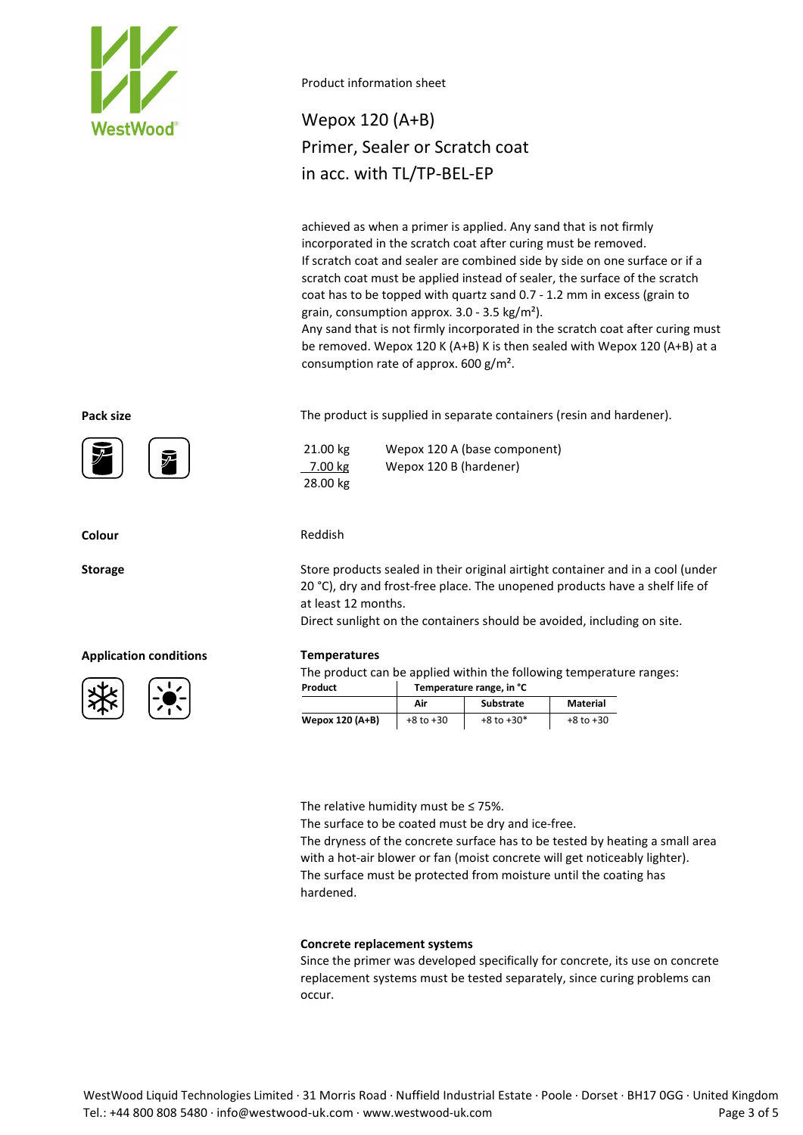

# Wepox 120 (A+B) Primer, Sealer or Scratch coat in acc. with TL/TP-BEL-EP

achieved as when a primer is applied. Any sand that is not firmly incorporated in the scratch coat after curing must be removed. If scratch coat and sealer are combined side by side on one surface or if a scratch coat must be applied instead of sealer, the surface of the scratch coat has to be topped with quartz sand 0.7 - 1.2 mm in excess (grain to grain, consumption approx. 3.0 - 3.5 kg/m²).

Any sand that is not firmly incorporated in the scratch coat after curing must be removed. Wepox 120 K (A+B) K is then sealed with Wepox 120 (A+B) at a consumption rate of approx. 600 g/m².

**Pack size** The product is supplied in separate containers (resin and hardener).

21.00 kg Wepox 120 A (base component) 7.00 kg Wepox 120 B (hardener) 28.00 kg

### **Colour** Reddish

**Storage** Store products sealed in their original airtight container and in a cool (under 20 °C), dry and frost-free place. The unopened products have a shelf life of at least 12 months.

Direct sunlight on the containers should be avoided, including on site.

The product can be applied within the following temperature ranges:

| Product         | Temperature range, in °C |                  |               |
|-----------------|--------------------------|------------------|---------------|
|                 | Air                      | <b>Substrate</b> | Material      |
| Wepox 120 (A+B) | $+8$ to $+30$            | $+8$ to $+30*$   | $+8$ to $+30$ |

The relative humidity must be ≤ 75%.

The surface to be coated must be dry and ice-free.

The dryness of the concrete surface has to be tested by heating a small area with a hot-air blower or fan (moist concrete will get noticeably lighter). The surface must be protected from moisture until the coating has hardened.

### **Concrete replacement systems**

Since the primer was developed specifically for concrete, its use on concrete replacement systems must be tested separately, since curing problems can occur.



### **Application conditions Temperatures**

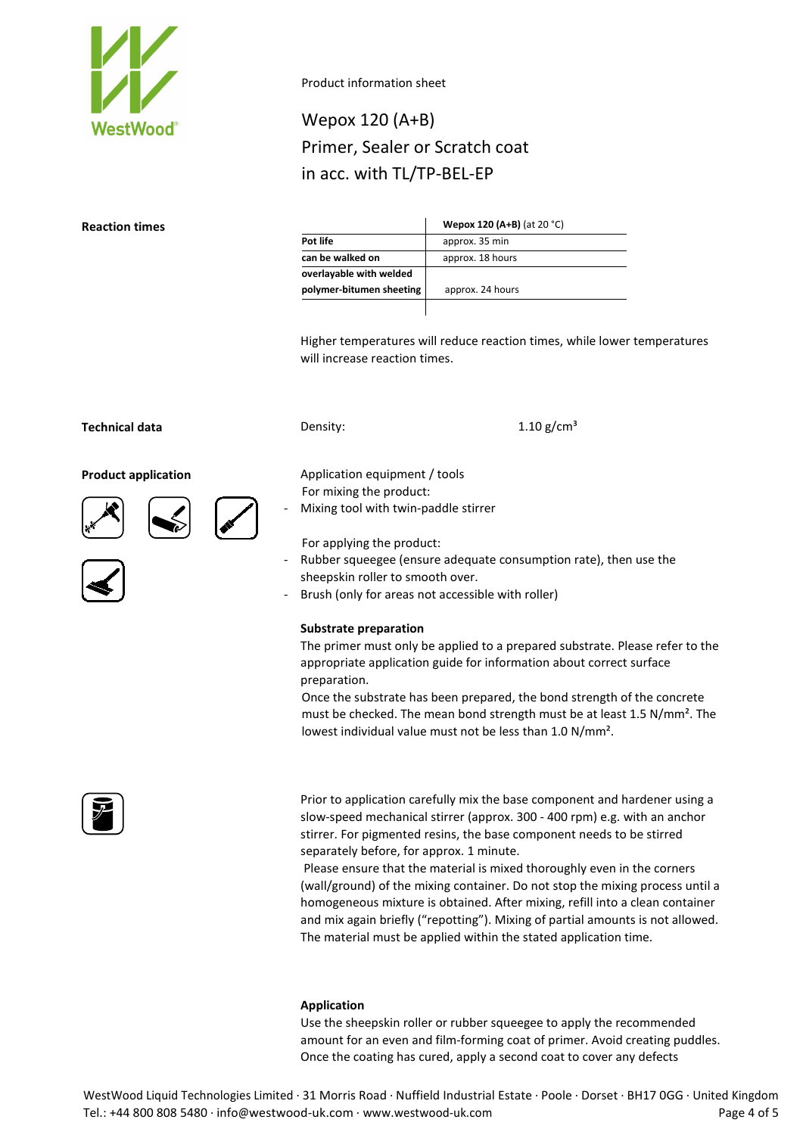

# Wepox 120 (A+B) Primer, Sealer or Scratch coat in acc. with TL/TP-BEL-EP

#### **Reaction times**

|                          | <b>Wepox 120 (A+B)</b> (at 20 °C) |
|--------------------------|-----------------------------------|
| Pot life                 | approx. 35 min                    |
| can be walked on         | approx. 18 hours                  |
| overlayable with welded  |                                   |
| polymer-bitumen sheeting | approx. 24 hours                  |
|                          |                                   |

Higher temperatures will reduce reaction times, while lower temperatures will increase reaction times.

### **Technical data Density: Density: Density: 1.10 g/cm**<sup>3</sup>

#### **Product application Application Application equipment** / tools











For applying the product: - Rubber squeegee (ensure adequate consumption rate), then use the sheepskin roller to smooth over.

Brush (only for areas not accessible with roller)

#### **Substrate preparation**

For mixing the product:

Mixing tool with twin-paddle stirrer

The primer must only be applied to a prepared substrate. Please refer to the appropriate application guide for information about correct surface preparation.

Once the substrate has been prepared, the bond strength of the concrete must be checked. The mean bond strength must be at least 1.5 N/mm². The lowest individual value must not be less than 1.0 N/mm².



Prior to application carefully mix the base component and hardener using a slow-speed mechanical stirrer (approx. 300 - 400 rpm) e.g. with an anchor stirrer. For pigmented resins, the base component needs to be stirred separately before, for approx. 1 minute.

Please ensure that the material is mixed thoroughly even in the corners (wall/ground) of the mixing container. Do not stop the mixing process until a homogeneous mixture is obtained. After mixing, refill into a clean container and mix again briefly ("repotting"). Mixing of partial amounts is not allowed. The material must be applied within the stated application time.

#### **Application**

Use the sheepskin roller or rubber squeegee to apply the recommended amount for an even and film-forming coat of primer. Avoid creating puddles. Once the coating has cured, apply a second coat to cover any defects

WestWood Liquid Technologies Limited · 31 Morris Road · Nuffield Industrial Estate · Poole · Dorset · BH17 0GG · United Kingdom Tel.: +44 800 808 5480 · info@westwood-uk.com · www.westwood-uk.com example are seen to the Page 4 of 5